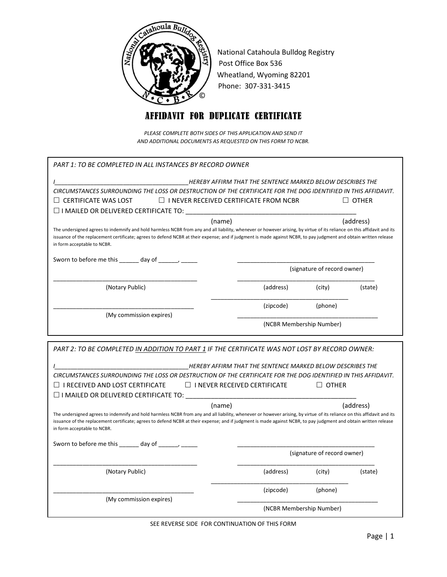

National Catahoula Bulldog Registry Post Office Box 536 Wheatland, Wyoming 82201 Phone: 307-331-3415

## AFFIDAVIT FOR DUPLICATE CERTIFICATE

*PLEASE COMPLETE BOTH SIDES OF THIS APPLICATION AND SEND IT AND ADDITIONAL DOCUMENTS AS REQUESTED ON THIS FORM TO NCBR.*

| PART 1: TO BE COMPLETED IN ALL INSTANCES BY RECORD OWNER                                                                                                                                                                                                                                                                                                                              |           |                             |              |  |
|---------------------------------------------------------------------------------------------------------------------------------------------------------------------------------------------------------------------------------------------------------------------------------------------------------------------------------------------------------------------------------------|-----------|-----------------------------|--------------|--|
| HEREBY AFFIRM THAT THE SENTENCE MARKED BELOW DESCRIBES THE                                                                                                                                                                                                                                                                                                                            |           |                             |              |  |
| CIRCUMSTANCES SURROUNDING THE LOSS OR DESTRUCTION OF THE CERTIFICATE FOR THE DOG IDENTIFIED IN THIS AFFIDAVIT.                                                                                                                                                                                                                                                                        |           |                             |              |  |
| $\Box$ CERTIFICATE WAS LOST<br>$\Box$ I NEVER RECEIVED CERTIFICATE FROM NCBR                                                                                                                                                                                                                                                                                                          |           |                             | $\Box$ other |  |
|                                                                                                                                                                                                                                                                                                                                                                                       |           |                             |              |  |
| $\Box$ I MAILED OR DELIVERED CERTIFICATE TO:                                                                                                                                                                                                                                                                                                                                          |           |                             |              |  |
| (name)<br>The undersigned agrees to indemnify and hold harmless NCBR from any and all liability, whenever or however arising, by virtue of its reliance on this affidavit and its<br>issuance of the replacement certificate; agrees to defend NCBR at their expense; and if judgment is made against NCBR, to pay judgment and obtain written release<br>in form acceptable to NCBR. |           |                             | (address)    |  |
| Sworn to before me this $\frac{1}{2}$ day of $\frac{1}{2}$ $\frac{1}{2}$                                                                                                                                                                                                                                                                                                              |           |                             |              |  |
|                                                                                                                                                                                                                                                                                                                                                                                       |           | (signature of record owner) |              |  |
| (Notary Public)                                                                                                                                                                                                                                                                                                                                                                       | (address) | (city)                      | (state)      |  |
| (My commission expires)                                                                                                                                                                                                                                                                                                                                                               | (zipcode) | (phone)                     |              |  |
|                                                                                                                                                                                                                                                                                                                                                                                       |           | (NCBR Membership Number)    |              |  |
|                                                                                                                                                                                                                                                                                                                                                                                       |           |                             |              |  |
| PART 2: TO BE COMPLETED IN ADDITION TO PART 1 IF THE CERTIFICATE WAS NOT LOST BY RECORD OWNER:                                                                                                                                                                                                                                                                                        |           |                             |              |  |
| HEREBY AFFIRM THAT THE SENTENCE MARKED BELOW DESCRIBES THE                                                                                                                                                                                                                                                                                                                            |           |                             |              |  |
| CIRCUMSTANCES SURROUNDING THE LOSS OR DESTRUCTION OF THE CERTIFICATE FOR THE DOG IDENTIFIED IN THIS AFFIDAVIT.                                                                                                                                                                                                                                                                        |           |                             |              |  |
| $\Box$ I RECEIVED AND LOST CERTIFICATE<br>$\Box$ I NEVER RECEIVED CERTIFICATE                                                                                                                                                                                                                                                                                                         |           | $\Box$ OTHER                |              |  |
|                                                                                                                                                                                                                                                                                                                                                                                       |           |                             |              |  |
| $\square$ I MAILED OR DELIVERED CERTIFICATE TO:                                                                                                                                                                                                                                                                                                                                       |           |                             |              |  |
| (name)                                                                                                                                                                                                                                                                                                                                                                                |           | (address)                   |              |  |
| The undersigned agrees to indemnify and hold harmless NCBR from any and all liability, whenever or however arising, by virtue of its reliance on this affidavit and its<br>issuance of the replacement certificate; agrees to defend NCBR at their expense; and if judgment is made against NCBR, to pay judgment and obtain written release<br>in form acceptable to NCBR.           |           |                             |              |  |
| Sworn to before me this ______ day of ______, _____                                                                                                                                                                                                                                                                                                                                   |           |                             |              |  |
|                                                                                                                                                                                                                                                                                                                                                                                       |           | (signature of record owner) |              |  |
| (Notary Public)                                                                                                                                                                                                                                                                                                                                                                       |           |                             |              |  |
|                                                                                                                                                                                                                                                                                                                                                                                       | (address) | (city)                      | (state)      |  |
|                                                                                                                                                                                                                                                                                                                                                                                       | (zipcode) | (phone)                     |              |  |
| (My commission expires)                                                                                                                                                                                                                                                                                                                                                               |           |                             |              |  |

SEE REVERSE SIDE FOR CONTINUATION OF THIS FORM